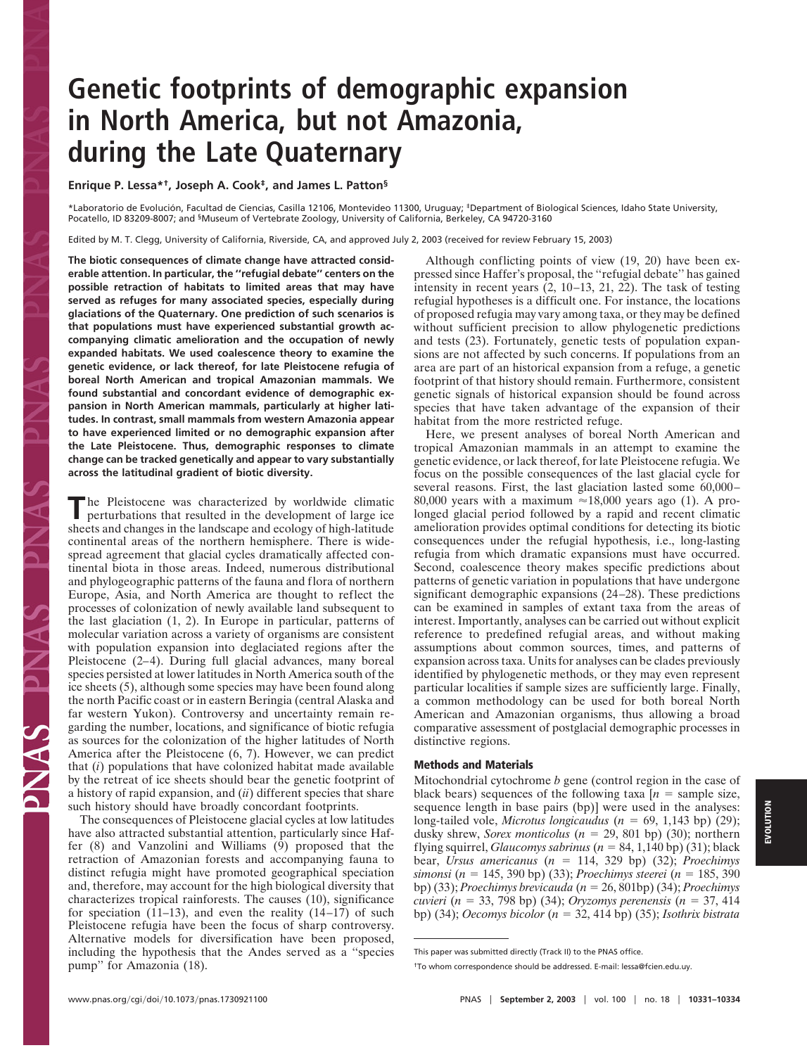## **Genetic footprints of demographic expansion in North America, but not Amazonia, during the Late Quaternary**

**Enrique P. Lessa\*†, Joseph A. Cook‡, and James L. Patton§**

\*Laboratorio de Evolucio´ n, Facultad de Ciencias, Casilla 12106, Montevideo 11300, Uruguay; ‡Department of Biological Sciences, Idaho State University, Pocatello, ID 83209-8007; and §Museum of Vertebrate Zoology, University of California, Berkeley, CA 94720-3160

Edited by M. T. Clegg, University of California, Riverside, CA, and approved July 2, 2003 (received for review February 15, 2003)

**The biotic consequences of climate change have attracted considerable attention. In particular, the ''refugial debate'' centers on the possible retraction of habitats to limited areas that may have served as refuges for many associated species, especially during glaciations of the Quaternary. One prediction of such scenarios is that populations must have experienced substantial growth accompanying climatic amelioration and the occupation of newly expanded habitats. We used coalescence theory to examine the genetic evidence, or lack thereof, for late Pleistocene refugia of boreal North American and tropical Amazonian mammals. We found substantial and concordant evidence of demographic expansion in North American mammals, particularly at higher latitudes. In contrast, small mammals from western Amazonia appear to have experienced limited or no demographic expansion after the Late Pleistocene. Thus, demographic responses to climate change can be tracked genetically and appear to vary substantially across the latitudinal gradient of biotic diversity.**

The Pleistocene was characterized by worldwide climatic perturbations that resulted in the development of large ice sheets and changes in the landscape and ecology of high-latitude continental areas of the northern hemisphere. There is widespread agreement that glacial cycles dramatically affected continental biota in those areas. Indeed, numerous distributional and phylogeographic patterns of the fauna and flora of northern Europe, Asia, and North America are thought to reflect the processes of colonization of newly available land subsequent to the last glaciation (1, 2). In Europe in particular, patterns of molecular variation across a variety of organisms are consistent with population expansion into deglaciated regions after the Pleistocene (2–4). During full glacial advances, many boreal species persisted at lower latitudes in North America south of the ice sheets (5), although some species may have been found along the north Pacific coast or in eastern Beringia (central Alaska and far western Yukon). Controversy and uncertainty remain regarding the number, locations, and significance of biotic refugia as sources for the colonization of the higher latitudes of North America after the Pleistocene (6, 7). However, we can predict that (*i*) populations that have colonized habitat made available by the retreat of ice sheets should bear the genetic footprint of a history of rapid expansion, and (*ii*) different species that share such history should have broadly concordant footprints.

The consequences of Pleistocene glacial cycles at low latitudes have also attracted substantial attention, particularly since Haffer (8) and Vanzolini and Williams (9) proposed that the retraction of Amazonian forests and accompanying fauna to distinct refugia might have promoted geographical speciation and, therefore, may account for the high biological diversity that characterizes tropical rainforests. The causes (10), significance for speciation  $(11-13)$ , and even the reality  $(14-17)$  of such Pleistocene refugia have been the focus of sharp controversy. Alternative models for diversification have been proposed, including the hypothesis that the Andes served as a ''species pump'' for Amazonia (18).

Although conflicting points of view (19, 20) have been expressed since Haffer's proposal, the ''refugial debate'' has gained intensity in recent years (2, 10–13, 21, 22). The task of testing refugial hypotheses is a difficult one. For instance, the locations of proposed refugia may vary among taxa, or they may be defined without sufficient precision to allow phylogenetic predictions and tests (23). Fortunately, genetic tests of population expansions are not affected by such concerns. If populations from an area are part of an historical expansion from a refuge, a genetic footprint of that history should remain. Furthermore, consistent genetic signals of historical expansion should be found across species that have taken advantage of the expansion of their habitat from the more restricted refuge.

Here, we present analyses of boreal North American and tropical Amazonian mammals in an attempt to examine the genetic evidence, or lack thereof, for late Pleistocene refugia. We focus on the possible consequences of the last glacial cycle for several reasons. First, the last glaciation lasted some 60,000– 80,000 years with a maximum  $\approx$  18,000 years ago (1). A prolonged glacial period followed by a rapid and recent climatic amelioration provides optimal conditions for detecting its biotic consequences under the refugial hypothesis, i.e., long-lasting refugia from which dramatic expansions must have occurred. Second, coalescence theory makes specific predictions about patterns of genetic variation in populations that have undergone significant demographic expansions (24–28). These predictions can be examined in samples of extant taxa from the areas of interest. Importantly, analyses can be carried out without explicit reference to predefined refugial areas, and without making assumptions about common sources, times, and patterns of expansion across taxa. Units for analyses can be clades previously identified by phylogenetic methods, or they may even represent particular localities if sample sizes are sufficiently large. Finally, a common methodology can be used for both boreal North American and Amazonian organisms, thus allowing a broad comparative assessment of postglacial demographic processes in distinctive regions.

## **Methods and Materials**

Mitochondrial cytochrome *b* gene (control region in the case of black bears) sequences of the following taxa  $[n]$  = sample size, sequence length in base pairs (bp)] were used in the analyses: long-tailed vole, *Microtus longicaudus* ( $n = 69, 1,143$  bp) (29); dusky shrew, *Sorex monticolus*  $(n = 29, 801$  bp) (30); northern flying squirrel, *Glaucomys sabrinus* ( $n = 84, 1,140$  bp) (31); black bear, *Ursus americanus* (*n* - 114, 329 bp) (32); *Proechimys simonsi* (*n* - 145, 390 bp) (33); *Proechimys steerei* (*n* - 185, 390 bp) (33); *Proechimys brevicauda* (*n* - 26, 801bp) (34); *Proechimys cuvieri* (*n* - 33, 798 bp) (34); *Oryzomys perenensis* (*n* - 37, 414 bp) (34); *Oecomys bicolor* (*n* - 32, 414 bp) (35); *Isothrix bistrata*

This paper was submitted directly (Track II) to the PNAS office.

<sup>†</sup>To whom correspondence should be addressed. E-mail: lessa@fcien.edu.uy.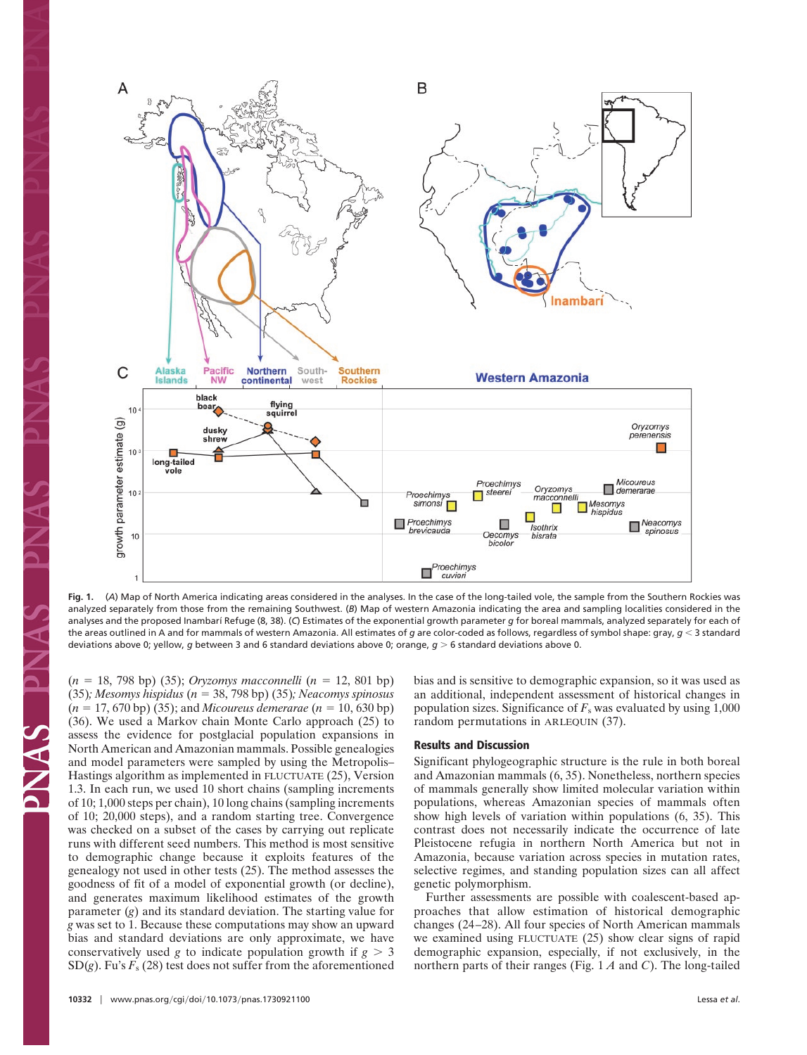

**Fig. 1.** (*A*) Map of North America indicating areas considered in the analyses. In the case of the long-tailed vole, the sample from the Southern Rockies was analyzed separately from those from the remaining Southwest. (*B*) Map of western Amazonia indicating the area and sampling localities considered in the analyses and the proposed Inambarı´ Refuge (8, 38). (*C*) Estimates of the exponential growth parameter *g* for boreal mammals, analyzed separately for each of the areas outlined in A and for mammals of western Amazonia. All estimates of *g* are color-coded as follows, regardless of symbol shape: gray, *g* 3 standard deviations above 0; yellow, *g* between 3 and 6 standard deviations above 0; orange, *g* 6 standard deviations above 0.

(*n* - 18, 798 bp) (35); *Oryzomys macconnelli* (*n* - 12, 801 bp) (35)*; Mesomys hispidus* (*n* - 38, 798 bp) (35)*; Neacomys spinosus*  $(n = 17, 670 \text{ bp})$  (35); and *Micoureus demerarae*  $(n = 10, 630 \text{ bp})$ (36). We used a Markov chain Monte Carlo approach (25) to assess the evidence for postglacial population expansions in North American and Amazonian mammals. Possible genealogies and model parameters were sampled by using the Metropolis– Hastings algorithm as implemented in FLUCTUATE (25), Version 1.3. In each run, we used 10 short chains (sampling increments of 10; 1,000 steps per chain), 10 long chains (sampling increments of 10; 20,000 steps), and a random starting tree. Convergence was checked on a subset of the cases by carrying out replicate runs with different seed numbers. This method is most sensitive to demographic change because it exploits features of the genealogy not used in other tests (25). The method assesses the goodness of fit of a model of exponential growth (or decline), and generates maximum likelihood estimates of the growth parameter (*g*) and its standard deviation. The starting value for *g* was set to 1. Because these computations may show an upward bias and standard deviations are only approximate, we have conservatively used *g* to indicate population growth if  $g > 3$  $SD(g)$ . Fu's  $F_s$  (28) test does not suffer from the aforementioned bias and is sensitive to demographic expansion, so it was used as an additional, independent assessment of historical changes in population sizes. Significance of  $F<sub>s</sub>$  was evaluated by using 1,000 random permutations in ARLEQUIN (37).

## **Results and Discussion**

Significant phylogeographic structure is the rule in both boreal and Amazonian mammals (6, 35). Nonetheless, northern species of mammals generally show limited molecular variation within populations, whereas Amazonian species of mammals often show high levels of variation within populations (6, 35). This contrast does not necessarily indicate the occurrence of late Pleistocene refugia in northern North America but not in Amazonia, because variation across species in mutation rates, selective regimes, and standing population sizes can all affect genetic polymorphism.

Further assessments are possible with coalescent-based approaches that allow estimation of historical demographic changes (24–28). All four species of North American mammals we examined using FLUCTUATE (25) show clear signs of rapid demographic expansion, especially, if not exclusively, in the northern parts of their ranges (Fig. 1 *A* and *C*). The long-tailed

S NN C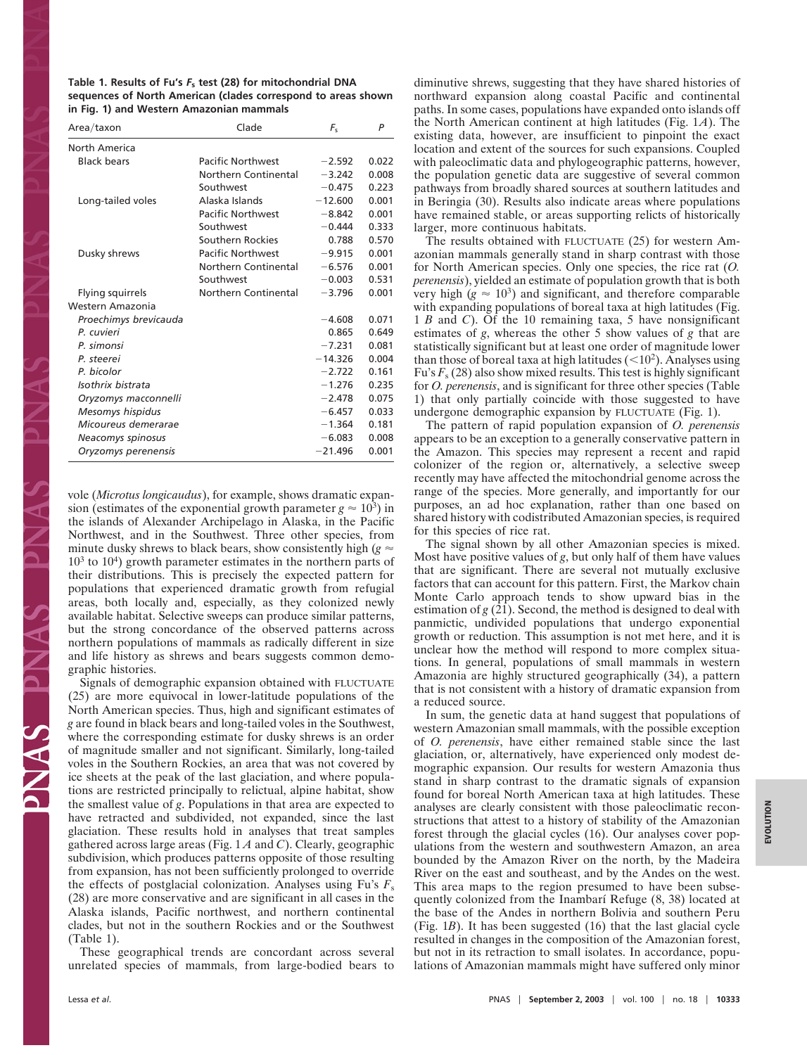**Table 1. Results of Fu's** *F***s test (28) for mitochondrial DNA sequences of North American (clades correspond to areas shown in Fig. 1) and Western Amazonian mammals**

| Area/taxon            | Clade                    | F,        | P     |
|-----------------------|--------------------------|-----------|-------|
| North America         |                          |           |       |
| <b>Black bears</b>    | <b>Pacific Northwest</b> | $-2.592$  | 0.022 |
|                       | Northern Continental     | $-3.242$  | 0.008 |
|                       | Southwest                | $-0.475$  | 0.223 |
| Long-tailed voles     | Alaska Islands           | $-12.600$ | 0.001 |
|                       | <b>Pacific Northwest</b> | $-8.842$  | 0.001 |
|                       | Southwest                | $-0.444$  | 0.333 |
|                       | Southern Rockies         | 0.788     | 0.570 |
| Dusky shrews          | <b>Pacific Northwest</b> | $-9.915$  | 0.001 |
|                       | Northern Continental     | $-6.576$  | 0.001 |
|                       | Southwest                | $-0.003$  | 0.531 |
| Flying squirrels      | Northern Continental     | $-3.796$  | 0.001 |
| Western Amazonia      |                          |           |       |
| Proechimys brevicauda |                          | $-4.608$  | 0.071 |
| P. cuvieri            |                          | 0.865     | 0.649 |
| P. simonsi            |                          | $-7.231$  | 0.081 |
| P. steerei            |                          | $-14.326$ | 0.004 |
| P. bicolor            |                          | $-2.722$  | 0.161 |
| Isothrix bistrata     |                          | $-1.276$  | 0.235 |
| Oryzomys macconnelli  |                          | $-2.478$  | 0.075 |
| Mesomys hispidus      |                          | $-6.457$  | 0.033 |
| Micoureus demerarae   |                          | $-1.364$  | 0.181 |
| Neacomys spinosus     |                          | $-6.083$  | 0.008 |
| Oryzomys perenensis   |                          | $-21.496$ | 0.001 |
|                       |                          |           |       |

vole (*Microtus longicaudus*), for example, shows dramatic expansion (estimates of the exponential growth parameter  $g \approx 10^3$ ) in the islands of Alexander Archipelago in Alaska, in the Pacific Northwest, and in the Southwest. Three other species, from minute dusky shrews to black bears, show consistently high ( $g \approx$  $10<sup>3</sup>$  to  $10<sup>4</sup>$ ) growth parameter estimates in the northern parts of their distributions. This is precisely the expected pattern for populations that experienced dramatic growth from refugial areas, both locally and, especially, as they colonized newly available habitat. Selective sweeps can produce similar patterns, but the strong concordance of the observed patterns across northern populations of mammals as radically different in size and life history as shrews and bears suggests common demographic histories.

Signals of demographic expansion obtained with FLUCTUATE (25) are more equivocal in lower-latitude populations of the North American species. Thus, high and significant estimates of *g* are found in black bears and long-tailed voles in the Southwest, where the corresponding estimate for dusky shrews is an order of magnitude smaller and not significant. Similarly, long-tailed voles in the Southern Rockies, an area that was not covered by ice sheets at the peak of the last glaciation, and where populations are restricted principally to relictual, alpine habitat, show the smallest value of *g*. Populations in that area are expected to have retracted and subdivided, not expanded, since the last glaciation. These results hold in analyses that treat samples gathered across large areas (Fig. 1 *A* and *C*). Clearly, geographic subdivision, which produces patterns opposite of those resulting from expansion, has not been sufficiently prolonged to override the effects of postglacial colonization. Analyses using Fu's *F*<sup>s</sup> (28) are more conservative and are significant in all cases in the Alaska islands, Pacific northwest, and northern continental clades, but not in the southern Rockies and or the Southwest (Table 1).

These geographical trends are concordant across several unrelated species of mammals, from large-bodied bears to diminutive shrews, suggesting that they have shared histories of northward expansion along coastal Pacific and continental paths. In some cases, populations have expanded onto islands off the North American continent at high latitudes (Fig. 1*A*). The existing data, however, are insufficient to pinpoint the exact location and extent of the sources for such expansions. Coupled with paleoclimatic data and phylogeographic patterns, however, the population genetic data are suggestive of several common pathways from broadly shared sources at southern latitudes and in Beringia (30). Results also indicate areas where populations have remained stable, or areas supporting relicts of historically larger, more continuous habitats.

The results obtained with FLUCTUATE (25) for western Amazonian mammals generally stand in sharp contrast with those for North American species. Only one species, the rice rat (*O. perenensis*), yielded an estimate of population growth that is both very high  $(g \approx 10^3)$  and significant, and therefore comparable with expanding populations of boreal taxa at high latitudes (Fig. 1 *B* and *C*). Of the 10 remaining taxa, 5 have nonsignificant estimates of *g*, whereas the other 5 show values of *g* that are statistically significant but at least one order of magnitude lower than those of boreal taxa at high latitudes  $(<10<sup>2</sup>)$ . Analyses using Fu's *F*<sup>s</sup> (28) also show mixed results. This test is highly significant for *O. perenensis*, and is significant for three other species (Table 1) that only partially coincide with those suggested to have undergone demographic expansion by FLUCTUATE (Fig. 1).

The pattern of rapid population expansion of *O. perenensis* appears to be an exception to a generally conservative pattern in the Amazon. This species may represent a recent and rapid colonizer of the region or, alternatively, a selective sweep recently may have affected the mitochondrial genome across the range of the species. More generally, and importantly for our purposes, an ad hoc explanation, rather than one based on shared history with codistributed Amazonian species, is required for this species of rice rat.

The signal shown by all other Amazonian species is mixed. Most have positive values of *g*, but only half of them have values that are significant. There are several not mutually exclusive factors that can account for this pattern. First, the Markov chain Monte Carlo approach tends to show upward bias in the estimation of  $g(2\overline{1})$ . Second, the method is designed to deal with panmictic, undivided populations that undergo exponential growth or reduction. This assumption is not met here, and it is unclear how the method will respond to more complex situations. In general, populations of small mammals in western Amazonia are highly structured geographically (34), a pattern that is not consistent with a history of dramatic expansion from a reduced source.

In sum, the genetic data at hand suggest that populations of western Amazonian small mammals, with the possible exception of *O. perenensis*, have either remained stable since the last glaciation, or, alternatively, have experienced only modest demographic expansion. Our results for western Amazonia thus stand in sharp contrast to the dramatic signals of expansion found for boreal North American taxa at high latitudes. These analyses are clearly consistent with those paleoclimatic reconstructions that attest to a history of stability of the Amazonian forest through the glacial cycles (16). Our analyses cover populations from the western and southwestern Amazon, an area bounded by the Amazon River on the north, by the Madeira River on the east and southeast, and by the Andes on the west. This area maps to the region presumed to have been subsequently colonized from the Inambarı´ Refuge (8, 38) located at the base of the Andes in northern Bolivia and southern Peru (Fig. 1*B*). It has been suggested (16) that the last glacial cycle resulted in changes in the composition of the Amazonian forest, but not in its retraction to small isolates. In accordance, populations of Amazonian mammals might have suffered only minor

PNAS PN